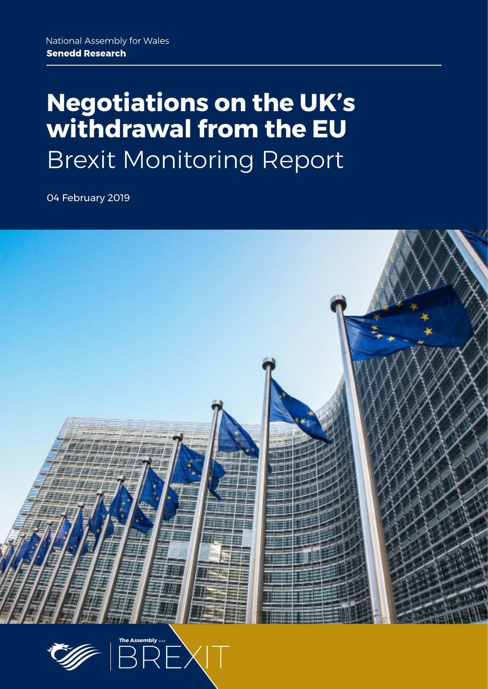# **Negotiations on the UK's withdrawal from the EU** Brexit Monitoring Report

04 February 2019



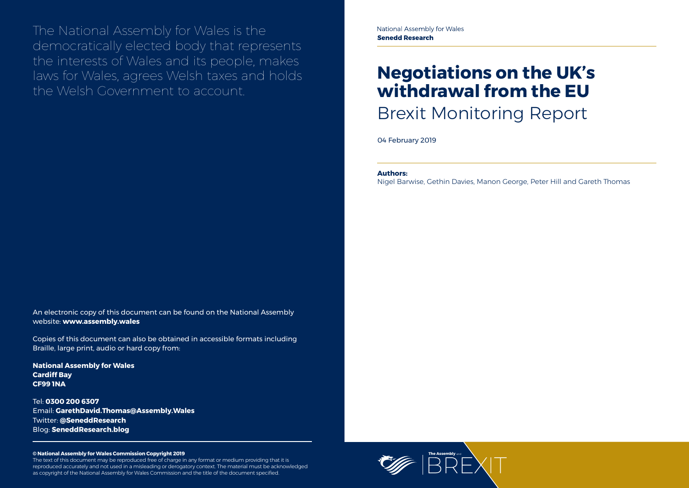

The National Assembly for Wales is the democratically elected body that represents the interests of Wales and its people, makes laws for Wales, agrees Welsh taxes and holds the Welsh Government to account.

### **© National Assembly for Wales Commission Copyright 2019**

The text of this document may be reproduced free of charge in any format or medium providing that it is reproduced accurately and not used in a misleading or derogatory context. The material must be acknowledged as copyright of the National Assembly for Wales Commission and the title of the document specified.

# **Negotiations on the UK's withdrawal from the EU** Brexit Monitoring Report

04 February 2019

An electronic copy of this document can be found on the National Assembly website: **www.assembly.wales**

Copies of this document can also be obtained in accessible formats including Braille, large print, audio or hard copy from:

**National Assembly for Wales Cardiff Bay CF99 1NA**

Tel: **0300 200 6307** Email: **[GarethDavid.Thomas@Assembly.Wales](mailto:GarethDavid.Thomas%40assembly.wales?subject=)** Twitter: **[@SeneddResearch](http://www.twitter.com/@SeneddResearch)** Blog: **[SeneddResearch.blog](http://SeneddResearch.blog)**

### **Authors:**

Nigel Barwise, Gethin Davies, Manon George, Peter Hill and Gareth Thomas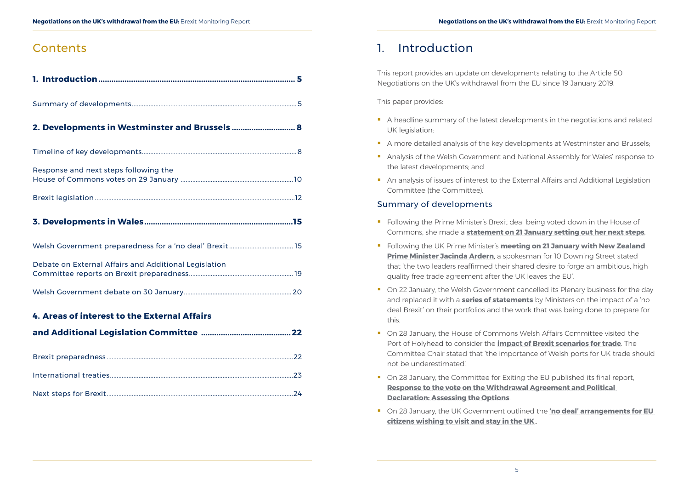## **Contents**

# 1. Introduction

This report provides an update on developments relating to the Article 50 Negotiations on the UK's withdrawal from the EU since 19 January 2019.

This paper provides:

- A headline summary of the latest developments in the negotiations and related UK legislation;
- A more detailed analysis of the key developments at Westminster and Brussels;
- **Analysis of the Welsh Government and National Assembly for Wales' response to** the latest developments; and
- **An analysis of issues of interest to the External Affairs and Additional Legislation** Committee (the Committee).

### Summary of developments

- **Following the Prime Minister's Brexit deal being voted down in the House of** Commons, she made a **[statement on 21 January setting out her next steps](https://hansard.parliament.uk/commons/2019-01-21/debates/0FBF8F8F-E4B4-47A2-BD0A-958EFC89BD7E/LeavingTheEU?utm_source=UK+Parliament&utm_campaign=5bf595f854-EMAIL_CAMPAIGN_2019_01_25_12_46&utm_medium=email&utm_term=0_77d770157b-5bf595f854-102413585&mc_cid=5bf595f854&mc_eid=2cebeea325)**.
- **Following the UK Prime Minister's meeting on 21 January with New Zealand [Prime Minister Jacinda Ardern](https://www.gov.uk/government/news/pm-meeting-with-pm-ardern-21-january-2019)**, a spokesman for 10 Downing Street stated that 'the two leaders reaffirmed their shared desire to forge an ambitious, high quality free trade agreement after the UK leaves the EU'.
- On 22 January, the Welsh Government cancelled its Plenary business for the day and replaced it with a **[series of statements](http://record.assembly.wales/Plenary/5419)** by Ministers on the impact of a 'no deal Brexit' on their portfolios and the work that was being done to prepare for this.
- On 28 January, the House of Commons Welsh Affairs Committee visited the Port of Holyhead to consider the **[impact of Brexit scenarios for trade](https://twitter.com/CommonsWelshAff/status/1089847069228048384?s=20)**. The Committee Chair stated that 'the importance of Welsh ports for UK trade should not be underestimated'.
- On 28 January, the Committee for Exiting the EU published its final report, **[Response to the vote on the Withdrawal Agreement and Political](https://publications.parliament.uk/pa/cm201719/cmselect/cmexeu/1908/190802.htm)  [Declaration: Assessing the Options](https://publications.parliament.uk/pa/cm201719/cmselect/cmexeu/1908/190802.htm)**.
- **On 28 January, the UK Government outlined the 'no deal' arrangements for EU [citizens wishing to visit and stay in the UK](https://www.gov.uk/government/news/government-outlines-no-deal-arrangements-for-eu-citizens)**..

Summary of developments.................................................................................................. 5

### **2. [Developments in Westminster and Brussels](#page-4-0) ............................. 8**

| Response and next steps following the |  |
|---------------------------------------|--|
|                                       |  |
|                                       |  |
|                                       |  |

### **3. [Developments in Wales....................................................................15](#page-7-0)**

| Debate on External Affairs and Additional Legislation |  |
|-------------------------------------------------------|--|

[Welsh Government debate on 30 January................................................................](#page-10-0) 20

### **4. [Areas of interest to the External Affairs](#page-11-0)**

|--|--|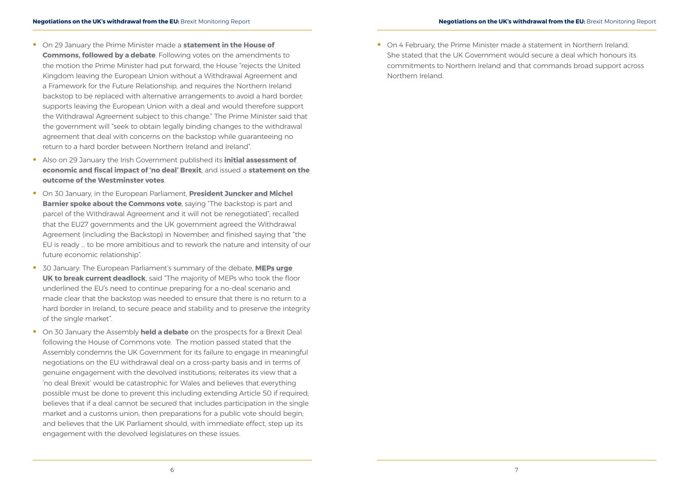- **T** On 29 January the Prime Minister made a **statement in the House of [Commons, followed by a debate](https://hansard.parliament.uk/commons/2019-01-29/debates/BB8A5769-12B4-4D0E-9B4E-158F89F9FCDE/EuropeanUnion(Withdrawal)Act2018)**. Following votes on the amendments to the motion the Prime Minister had put forward, the House "rejects the United Kingdom leaving the European Union without a Withdrawal Agreement and a Framework for the Future Relationship, and requires the Northern Ireland backstop to be replaced with alternative arrangements to avoid a hard border; supports leaving the European Union with a deal and would therefore support the Withdrawal Agreement subject to this change." The Prime Minister said that the government will "seek to obtain legally binding changes to the withdrawal agreement that deal with concerns on the backstop while guaranteeing no return to a hard border between Northern Ireland and Ireland".
- Also on 29 January the Irish Government published its **[initial assessment of](https://merrionstreet.ie/en/News-Room/News/Minister_Donohoe_outlines_initial_assessment_of_economic_and_fiscal_impact_of_‘no_deal’_Brexit.html)  [economic and fiscal impact of 'no deal' Brexit](https://merrionstreet.ie/en/News-Room/News/Minister_Donohoe_outlines_initial_assessment_of_economic_and_fiscal_impact_of_‘no_deal’_Brexit.html)**, and issued a **[statement on the](https://merrionstreet.ie/en/News-Room/News/Government_Statement_on_outcome_of_Westminster_votes.html)  [outcome of the Westminster votes](https://merrionstreet.ie/en/News-Room/News/Government_Statement_on_outcome_of_Westminster_votes.html)**.
- On 30 January, in the European Parliament, **[President Juncker and Michel](http://europa.eu/rapid/press-release_SPEECH-19-789_en.htm)  [Barnier spoke about the Commons vote](http://europa.eu/rapid/press-release_SPEECH-19-789_en.htm)**, saying "The backstop is part and parcel of the Withdrawal Agreement and it will not be renegotiated"; recalled that the EU27 governments and the UK government agreed the Withdrawal Agreement (including the Backstop) in November; and finished saying that "the EU is ready … to be more ambitious and to rework the nature and intensity of our future economic relationship".
- 30 January: The European Parliament's summary of the debate, **[MEPs urge](http://www.europarl.europa.eu/news/en/press-room/20190123IPR24124/meps-urge-uk-to-break-current-deadlock)  [UK to break current deadlock](http://www.europarl.europa.eu/news/en/press-room/20190123IPR24124/meps-urge-uk-to-break-current-deadlock)**, said "The majority of MEPs who took the floor underlined the EU's need to continue preparing for a no-deal scenario and made clear that the backstop was needed to ensure that there is no return to a hard border in Ireland, to secure peace and stability and to preserve the integrity of the single market".
- **On 30 January the Assembly held a debate** on the prospects for a Brexit Deal following the House of Commons vote. The motion passed stated that the Assembly condemns the UK Government for its failure to engage in meaningful negotiations on the EU withdrawal deal on a cross-party basis and in terms of genuine engagement with the devolved institutions; reiterates its view that a 'no deal Brexit' would be catastrophic for Wales and believes that everything possible must be done to prevent this including extending Article 50 if required; believes that if a deal cannot be secured that includes participation in the single market and a customs union, then preparations for a public vote should begin; and believes that the UK Parliament should, with immediate effect, step up its engagement with the devolved legislatures on these issues.

■ On 4 February, the Prime Minister made a statement in Northern Ireland. She stated that the UK Government would secure a deal which honours its commitments to Northern Ireland and that commands broad support across Northern Ireland.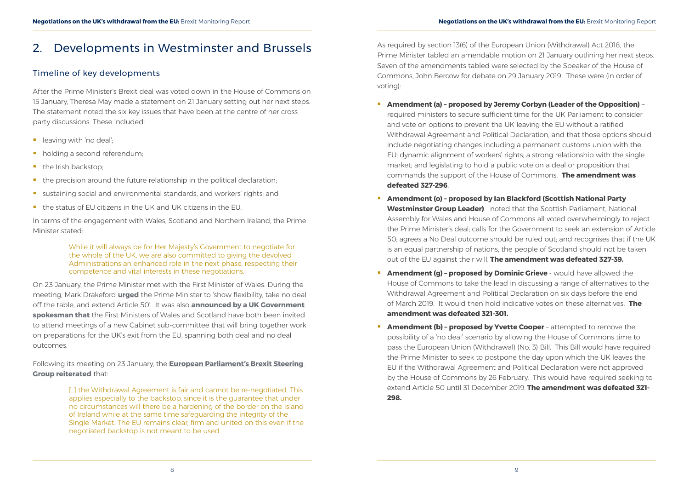# <span id="page-4-0"></span>2. Developments in Westminster and Brussels

### Timeline of key developments

After the Prime Minister's Brexit deal was voted down in the House of Commons on 15 January, Theresa May made a statement on 21 January setting out her next steps. The statement noted the six key issues that have been at the centre of her crossparty discussions. These included:

- $\blacksquare$  leaving with 'no deal':
- holding a second referendum;
- the Irish backstop;
- $\blacksquare$  the precision around the future relationship in the political declaration;
- sustaining social and environmental standards, and workers' rights; and
- the status of EU citizens in the UK and UK citizens in the EU.

In terms of the engagement with Wales, Scotland and Northern Ireland, the Prime Minister stated:

> While it will always be for Her Majesty's Government to negotiate for the whole of the UK, we are also committed to giving the devolved Administrations an enhanced role in the next phase, respecting their competence and vital interests in these negotiations.

[...] the Withdrawal Agreement is fair and cannot be re-negotiated. This applies especially to the backstop, since it is the guarantee that under no circumstances will there be a hardening of the border on the island of Ireland while at the same time safeguarding the integrity of the Single Market. The EU remains clear, firm and united on this even if the negotiated backstop is not meant to be used.

On 23 January, the Prime Minister met with the First Minister of Wales. During the meeting, Mark Drakeford **[urged](https://twitter.com/fmwales/status/1088144753747742722)** the Prime Minister to 'show flexibility, take no deal off the table, and extend Article 50'. It was also **[announced by a UK Government](https://www.gov.uk/government/news/pm-meeting-with-first-ministers-of-scotland-and-wales-23-january-2019)  [spokesman that](https://www.gov.uk/government/news/pm-meeting-with-first-ministers-of-scotland-and-wales-23-january-2019)** the First Ministers of Wales and Scotland have both been invited to attend meetings of a new Cabinet sub-committee that will bring together work on preparations for the UK's exit from the EU, spanning both deal and no deal outcomes.

Following its meeting on 23 January, the **[European Parliament's Brexit Steering](http://www.epgencms.europarl.europa.eu/cmsdata/upload/73a7aec0-3d38-46f0-b836-a3e089a90dc1/Brexit_Steering_Group_calls_on_the_UK_to_overcome_the_deadlock.pdf)  [Group reiterated](http://www.epgencms.europarl.europa.eu/cmsdata/upload/73a7aec0-3d38-46f0-b836-a3e089a90dc1/Brexit_Steering_Group_calls_on_the_UK_to_overcome_the_deadlock.pdf)** that:

As required by section 13(6) of the European Union (Withdrawal) Act 2018, the Prime Minister tabled an amendable motion on 21 January outlining her next steps. Seven of the amendments tabled were selected by the Speaker of the House of Commons, John Bercow for debate on 29 January 2019. These were (in order of voting):

the Prime Minister's deal; calls for the Government to seek an extension of Article 50; agrees a No Deal outcome should be ruled out; and recognises that if the UK

- **Amendment (a) proposed by Jeremy Corbyn (Leader of the Opposition)** required ministers to secure sufficient time for the UK Parliament to consider and vote on options to prevent the UK leaving the EU without a ratified Withdrawal Agreement and Political Declaration, and that those options should include negotiating changes including a permanent customs union with the EU; dynamic alignment of workers' rights; a strong relationship with the single market; and legislating to hold a public vote on a deal or proposition that commands the support of the House of Commons. **The amendment was defeated 327-296**.
- **Amendment (o) proposed by Ian Blackford (Scottish National Party Westminster Group Leader)** - noted that the Scottish Parliament, National Assembly for Wales and House of Commons all voted overwhelmingly to reject is an equal partnership of nations, the people of Scotland should not be taken out of the EU against their will. **The amendment was defeated 327-39.**
- **Amendment (g) proposed by Dominic Grieve** would have allowed the House of Commons to take the lead in discussing a range of alternatives to the Withdrawal Agreement and Political Declaration on six days before the end of March 2019. It would then hold indicative votes on these alternatives. **The amendment was defeated 321-301.**
- **Amendment (b) proposed by Yvette Cooper** attempted to remove the possibility of a 'no deal' scenario by allowing the House of Commons time to pass the European Union (Withdrawal) (No. 3) Bill. This Bill would have required the Prime Minister to seek to postpone the day upon which the UK leaves the EU if the Withdrawal Agreement and Political Declaration were not approved by the House of Commons by 26 February. This would have required seeking to extend Article 50 until 31 December 2019. **The amendment was defeated 321- 298.**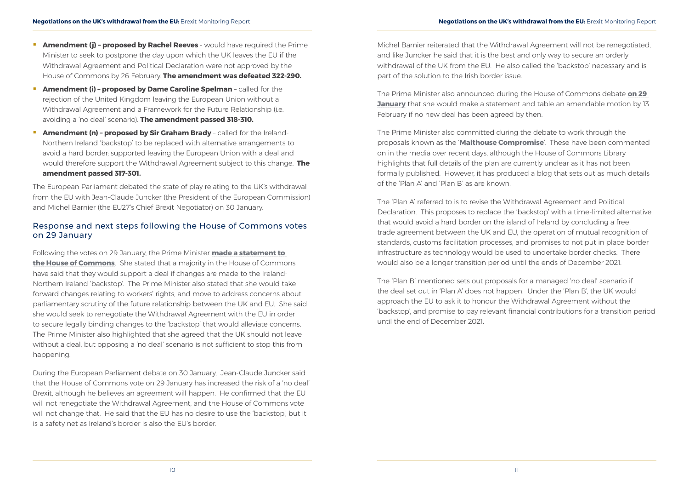- <span id="page-5-0"></span>**Amendment (j) - proposed by Rachel Reeves** - would have required the Prime Minister to seek to postpone the day upon which the UK leaves the EU if the Withdrawal Agreement and Political Declaration were not approved by the House of Commons by 26 February. **The amendment was defeated 322-290.**
- **Amendment (i) proposed by Dame Caroline Spelman**  called for the rejection of the United Kingdom leaving the European Union without a Withdrawal Agreement and a Framework for the Future Relationship (i.e. avoiding a 'no deal' scenario). **The amendment passed 318-310.**
- Amendment (n) proposed by Sir Graham Brady called for the Ireland-Northern Ireland 'backstop' to be replaced with alternative arrangements to avoid a hard border; supported leaving the European Union with a deal and would therefore support the Withdrawal Agreement subject to this change. **The amendment passed 317-301.**

The European Parliament debated the state of play relating to the UK's withdrawal from the EU with Jean-Claude Juncker (the President of the European Commission) and Michel Barnier (the EU27's Chief Brexit Negotiator) on 30 January.

### Response and next steps following the House of Commons votes on 29 January

Following the votes on 29 January, the Prime Minister **[made a statement to](https://www.gov.uk/government/speeches/pm-statement-to-the-house-of-commons-29-january-2019)  [the House of Commons](https://www.gov.uk/government/speeches/pm-statement-to-the-house-of-commons-29-january-2019)**. She stated that a majority in the House of Commons have said that they would support a deal if changes are made to the Ireland-Northern Ireland 'backstop'. The Prime Minister also stated that she would take forward changes relating to workers' rights, and move to address concerns about parliamentary scrutiny of the future relationship between the UK and EU. She said she would seek to renegotiate the Withdrawal Agreement with the EU in order to secure legally binding changes to the 'backstop' that would alleviate concerns. The Prime Minister also highlighted that she agreed that the UK should not leave without a deal, but opposing a 'no deal' scenario is not sufficient to stop this from happening.

During the European Parliament debate on 30 January, Jean-Claude Juncker said that the House of Commons vote on 29 January has increased the risk of a 'no deal' Brexit, although he believes an agreement will happen. He confirmed that the EU will not renegotiate the Withdrawal Agreement, and the House of Commons vote will not change that. He said that the EU has no desire to use the 'backstop', but it is a safety net as Ireland's border is also the EU's border.

Michel Barnier reiterated that the Withdrawal Agreement will not be renegotiated, and like Juncker he said that it is the best and only way to secure an orderly withdrawal of the UK from the EU. He also called the 'backstop' necessary and is part of the solution to the Irish border issue.

The Prime Minister also announced during the House of Commons debate **[on 29](https://hansard.parliament.uk/commons/2019-01-29/debates/BB8A5769-12B4-4D0E-9B4E-158F89F9FCDE/EuropeanUnion(Withdrawal)Act2018)  [January](https://hansard.parliament.uk/commons/2019-01-29/debates/BB8A5769-12B4-4D0E-9B4E-158F89F9FCDE/EuropeanUnion(Withdrawal)Act2018)** that she would make a statement and table an amendable motion by 13 February if no new deal has been agreed by then.

The Prime Minister also committed during the debate to work through the proposals known as the '**[Malthouse Compromise](https://commonslibrary.parliament.uk/brexit/negotiations/the-malthouse-compromise-what-is-plan-c/)**'. These have been commented on in the media over recent days, although the House of Commons Library highlights that full details of the plan are currently unclear as it has not been formally published. However, it has produced a blog that sets out as much details of the 'Plan A' and 'Plan B' as are known.

The 'Plan A' referred to is to revise the Withdrawal Agreement and Political Declaration. This proposes to replace the 'backstop' with a time-limited alternative that would avoid a hard border on the island of Ireland by concluding a free trade agreement between the UK and EU, the operation of mutual recognition of standards, customs facilitation processes, and promises to not put in place border infrastructure as technology would be used to undertake border checks. There would also be a longer transition period until the ends of December 2021.

The 'Plan B' mentioned sets out proposals for a managed 'no deal' scenario if the deal set out in 'Plan A' does not happen. Under the 'Plan B', the UK would approach the EU to ask it to honour the Withdrawal Agreement without the 'backstop', and promise to pay relevant financial contributions for a transition period until the end of December 2021.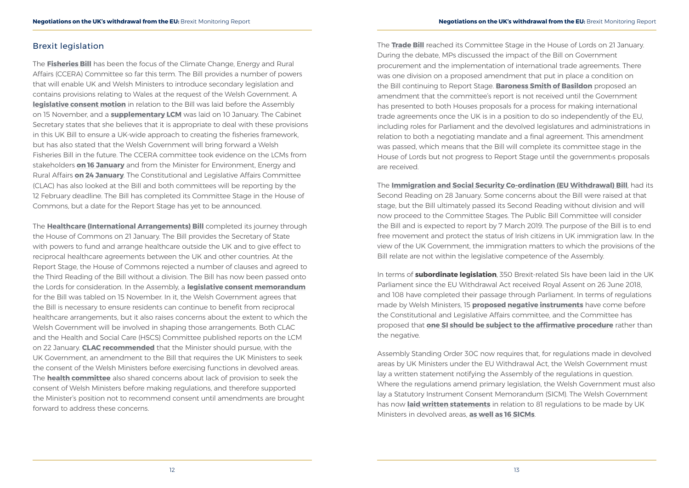### <span id="page-6-0"></span>Brexit legislation

The **[Fisheries Bill](https://services.parliament.uk/bills/2017-19/fisheries.html)** has been the focus of the Climate Change, Energy and Rural Affairs (CCERA) Committee so far this term. The Bill provides a number of powers that will enable UK and Welsh Ministers to introduce secondary legislation and contains provisions relating to Wales at the request of the Welsh Government. A **[legislative consent motion](http://www.assembly.wales/laid%20documents/lcm-ld11847/lcm-ld11847-e.pdf)** in relation to the Bill was laid before the Assembly on 15 November, and a **[supplementary LCM](http://www.assembly.wales/laid%20documents/lcm-ld12027/lcm-ld12027-e.pdf)** was laid on 10 January. The Cabinet Secretary states that she believes that it is appropriate to deal with these provisions in this UK Bill to ensure a UK-wide approach to creating the fisheries framework, but has also stated that the Welsh Government will bring forward a Welsh Fisheries Bill in the future. The CCERA committee took evidence on the LCMs from stakeholders **[on 16 January](http://senedd.assembly.wales/ieListDocuments.aspx?CId=444&MId=5095)** and from the Minister for Environment, Energy and Rural Affairs **[on 24 January](http://senedd.assembly.wales/ieListDocuments.aspx?CId=444&MId=5088&Ver=4)**. The Constitutional and Legislative Affairs Committee (CLAC) has also looked at the Bill and both committees will be reporting by the 12 February deadline. The Bill has completed its Committee Stage in the House of Commons, but a date for the Report Stage has yet to be announced.

The **[Healthcare \(International Arrangements\) Bill](https://services.parliament.uk/bills/2017-19/healthcareinternationalarrangements.html)** completed its journey through the House of Commons on 21 January. The Bill provides the Secretary of State with powers to fund and arrange healthcare outside the UK and to give effect to reciprocal healthcare agreements between the UK and other countries. At the Report Stage, the House of Commons rejected a number of clauses and agreed to the Third Reading of the Bill without a division. The Bill has now been passed onto the Lords for consideration. In the Assembly, a **[legislative consent memorandum](http://www.assembly.wales/laid%20documents/lcm-ld11845/lcm-ld11845-e.pdf)** for the Bill was tabled on 15 November. In it, the Welsh Government agrees that the Bill is necessary to ensure residents can continue to benefit from reciprocal healthcare arrangements, but it also raises concerns about the extent to which the Welsh Government will be involved in shaping those arrangements. Both CLAC and the Health and Social Care (HSCS) Committee published reports on the LCM on 22 January. **[CLAC recommended](http://www.assembly.wales/laid%20documents/cr-ld12062/cr-ld12062-e.pdf)** that the Minister should pursue, with the UK Government, an amendment to the Bill that requires the UK Ministers to seek the consent of the Welsh Ministers before exercising functions in devolved areas. The **[health committee](http://www.senedd.assembly.wales/documents/s83606/Health%20Social%20Care%20and%20Sport%20Committee%20-%20Report%20on%20the%20Legislative%20Consent%20Memorandum%20for%20the%20Healt.pdf)** also shared concerns about lack of provision to seek the consent of Welsh Ministers before making regulations, and therefore supported the Minister's position not to recommend consent until amendments are brought forward to address these concerns.

The **[Trade Bill](https://services.parliament.uk/bills/2017-19/trade.html)** reached its Committee Stage in the House of Lords on 21 January. During the debate, MPs discussed the impact of the Bill on Government procurement and the implementation of international trade agreements. There was one division on a proposed amendment that put in place a condition on the Bill continuing to Report Stage. **[Baroness Smith of Basildon](https://www.parliament.uk/biographies/lords/baroness-smith-of-basildon/4170)** proposed an amendment that the committee's report is not received until the Government has presented to both Houses proposals for a process for making international trade agreements once the UK is in a position to do so independently of the EU, including roles for Parliament and the devolved legislatures and administrations in relation to both a negotiating mandate and a final agreement. This amendment was passed, which means that the Bill will complete its committee stage in the House of Lords but not progress to Report Stage until the government›s proposals are received.

The **[Immigration and Social Security Co-ordination \(EU Withdrawal\) Bill](https://services.parliament.uk/Bills/2017-19/immigrationandsocialsecuritycoordinationeuwithdrawal.html)**, had its Second Reading on 28 January. Some concerns about the Bill were raised at that stage, but the Bill ultimately passed its Second Reading without division and will now proceed to the Committee Stages. The Public Bill Committee will consider the Bill and is expected to report by 7 March 2019. The purpose of the Bill is to end free movement and protect the status of Irish citizens in UK immigration law. In the view of the UK Government, the immigration matters to which the provisions of the Bill relate are not within the legislative competence of the Assembly.

In terms of **subordinate legislation**, 350 Brexit-related SIs have been laid in the UK Parliament since the EU Withdrawal Act received Royal Assent on 26 June 2018, and 108 have completed their passage through Parliament. In terms of regulations made by Welsh Ministers, 15 **[proposed negative instruments](http://senedd.assembly.wales/mgIssueHistoryHome.aspx?IId=22579)** have come before the Constitutional and Legislative Affairs committee, and the Committee has proposed that **[one SI should be subject to the affirmative procedure](https://t.co/QPpr3ZW7UE)** rather than the negative.

Assembly Standing Order 30C now requires that, for regulations made in devolved areas by UK Ministers under the EU Withdrawal Act, the Welsh Government must lay a written statement notifying the Assembly of the regulations in question. Where the regulations amend primary legislation, the Welsh Government must also lay a Statutory Instrument Consent Memorandum (SICM). The Welsh Government has now **[laid written statements](http://senedd.assembly.wales/mgIssueHistoryHome.aspx?IId=23211)** in relation to 81 regulations to be made by UK Ministers in devolved areas, **[as well as 16 SICMs](http://senedd.assembly.wales/mgIssueHistoryHome.aspx?IId=20457)**.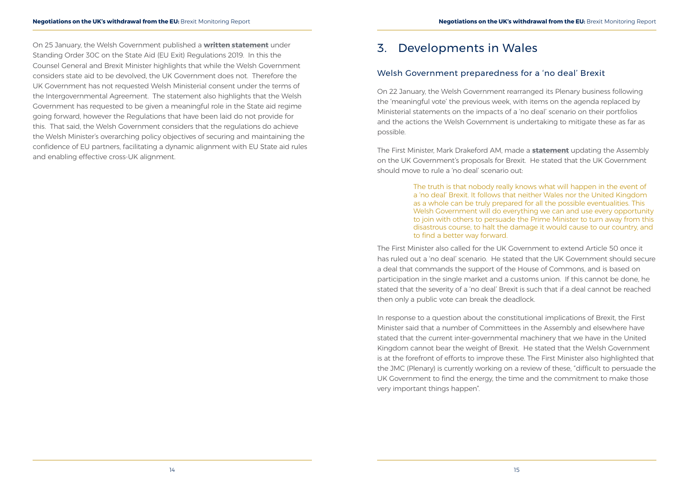<span id="page-7-0"></span>On 25 January, the Welsh Government published a **[written statement](http://www.assembly.wales/laid%20documents/ws-ld12075/ws-ld12075-e.pdf)** under Standing Order 30C on the State Aid (EU Exit) Regulations 2019. In this the Counsel General and Brexit Minister highlights that while the Welsh Government considers state aid to be devolved, the UK Government does not. Therefore the UK Government has not requested Welsh Ministerial consent under the terms of the Intergovernmental Agreement. The statement also highlights that the Welsh Government has requested to be given a meaningful role in the State aid regime going forward, however the Regulations that have been laid do not provide for this. That said, the Welsh Government considers that the regulations do achieve the Welsh Minister's overarching policy objectives of securing and maintaining the confidence of EU partners, facilitating a dynamic alignment with EU State aid rules and enabling effective cross-UK alignment.

# 3. Developments in Wales

### Welsh Government preparedness for a 'no deal' Brexit

On 22 January, the Welsh Government rearranged its Plenary business following the 'meaningful vote' the previous week, with items on the agenda replaced by Ministerial statements on the impacts of a 'no deal' scenario on their portfolios and the actions the Welsh Government is undertaking to mitigate these as far as possible.

The First Minister, Mark Drakeford AM, made a **statement** updating the Assembly on the UK Government's proposals for Brexit. He stated that the UK Government should move to rule a 'no deal' scenario out:

> The truth is that nobody really knows what will happen in the event of a 'no deal' Brexit. It follows that neither Wales nor the United Kingdom as a whole can be truly prepared for all the possible eventualities. This Welsh Government will do everything we can and use every opportunity to join with others to persuade the Prime Minister to turn away from this disastrous course, to halt the damage it would cause to our country, and to find a better way forward.

The First Minister also called for the UK Government to extend Article 50 once it has ruled out a 'no deal' scenario. He stated that the UK Government should secure a deal that commands the support of the House of Commons, and is based on participation in the single market and a customs union. If this cannot be done, he stated that the severity of a 'no deal' Brexit is such that if a deal cannot be reached then only a public vote can break the deadlock.

In response to a question about the constitutional implications of Brexit, the First Minister said that a number of Committees in the Assembly and elsewhere have stated that the current inter-governmental machinery that we have in the United Kingdom cannot bear the weight of Brexit. He stated that the Welsh Government is at the forefront of efforts to improve these. The First Minister also highlighted that the JMC (Plenary) is currently working on a review of these, "difficult to persuade the UK Government to find the energy, the time and the commitment to make those very important things happen".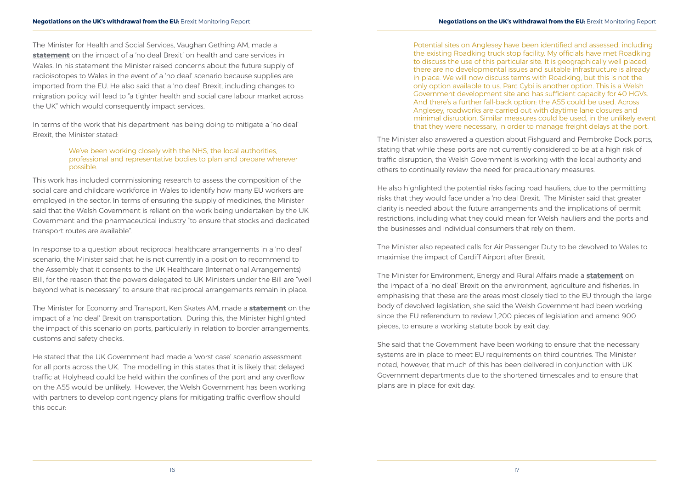The Minister for Health and Social Services, Vaughan Gething AM, made a **statement** on the impact of a 'no deal Brexit' on health and care services in Wales. In his statement the Minister raised concerns about the future supply of radioisotopes to Wales in the event of a 'no deal' scenario because supplies are imported from the EU. He also said that a 'no deal' Brexit, including changes to migration policy, will lead to "a tighter health and social care labour market across the UK" which would consequently impact services.

In terms of the work that his department has being doing to mitigate a 'no deal' Brexit, the Minister stated:

### We've been working closely with the NHS, the local authorities, professional and representative bodies to plan and prepare wherever possible.

This work has included commissioning research to assess the composition of the social care and childcare workforce in Wales to identify how many EU workers are employed in the sector. In terms of ensuring the supply of medicines, the Minister said that the Welsh Government is reliant on the work being undertaken by the UK Government and the pharmaceutical industry "to ensure that stocks and dedicated transport routes are available".

In response to a question about reciprocal healthcare arrangements in a 'no deal' scenario, the Minister said that he is not currently in a position to recommend to the Assembly that it consents to the UK Healthcare (International Arrangements) Bill, for the reason that the powers delegated to UK Ministers under the Bill are "well beyond what is necessary" to ensure that reciprocal arrangements remain in place.

The Minister for Economy and Transport, Ken Skates AM, made a **statement** on the impact of a 'no deal' Brexit on transportation. During this, the Minister highlighted the impact of this scenario on ports, particularly in relation to border arrangements, customs and safety checks.

He stated that the UK Government had made a 'worst case' scenario assessment for all ports across the UK. The modelling in this states that it is likely that delayed traffic at Holyhead could be held within the confines of the port and any overflow on the A55 would be unlikely. However, the Welsh Government has been working with partners to develop contingency plans for mitigating traffic overflow should this occur:

Potential sites on Anglesey have been identified and assessed, including the existing Roadking truck stop facility. My officials have met Roadking to discuss the use of this particular site. It is geographically well placed, there are no developmental issues and suitable infrastructure is already in place. We will now discuss terms with Roadking, but this is not the only option available to us. Parc Cybi is another option. This is a Welsh Government development site and has sufficient capacity for 40 HGVs. And there's a further fall-back option: the A55 could be used. Across Anglesey, roadworks are carried out with daytime lane closures and minimal disruption. Similar measures could be used, in the unlikely event that they were necessary, in order to manage freight delays at the port.

The Minister also answered a question about Fishguard and Pembroke Dock ports, stating that while these ports are not currently considered to be at a high risk of traffic disruption, the Welsh Government is working with the local authority and others to continually review the need for precautionary measures.

He also highlighted the potential risks facing road hauliers, due to the permitting risks that they would face under a 'no deal Brexit. The Minister said that greater clarity is needed about the future arrangements and the implications of permit restrictions, including what they could mean for Welsh hauliers and the ports and the businesses and individual consumers that rely on them.

The Minister also repeated calls for Air Passenger Duty to be devolved to Wales to maximise the impact of Cardiff Airport after Brexit.

The Minister for Environment, Energy and Rural Affairs made a **statement** on the impact of a 'no deal' Brexit on the environment, agriculture and fisheries. In emphasising that these are the areas most closely tied to the EU through the large body of devolved legislation, she said the Welsh Government had been working since the EU referendum to review 1,200 pieces of legislation and amend 900 pieces, to ensure a working statute book by exit day.

She said that the Government have been working to ensure that the necessary systems are in place to meet EU requirements on third countries. The Minister noted, however, that much of this has been delivered in conjunction with UK Government departments due to the shortened timescales and to ensure that plans are in place for exit day.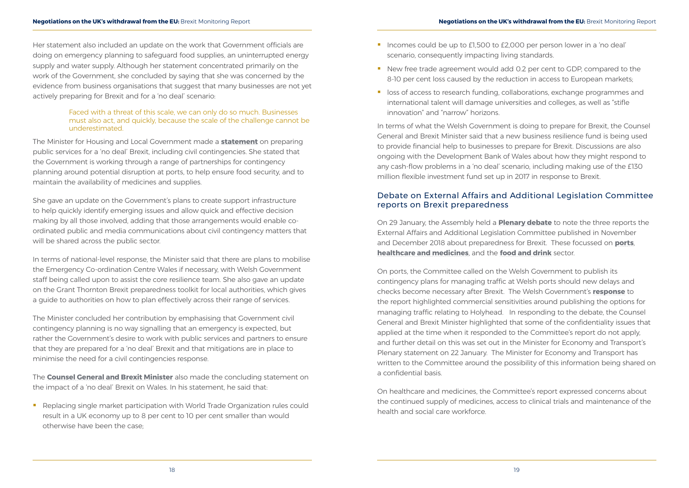<span id="page-9-0"></span>Her statement also included an update on the work that Government officials are doing on emergency planning to safeguard food supplies, an uninterrupted energy supply and water supply. Although her statement concentrated primarily on the work of the Government, she concluded by saying that she was concerned by the evidence from business organisations that suggest that many businesses are not yet actively preparing for Brexit and for a 'no deal' scenario:

### Faced with a threat of this scale, we can only do so much. Businesses must also act, and quickly, because the scale of the challenge cannot be underestimated.

The Minister for Housing and Local Government made a **statement** on preparing public services for a 'no deal' Brexit, including civil contingencies. She stated that the Government is working through a range of partnerships for contingency planning around potential disruption at ports, to help ensure food security, and to maintain the availability of medicines and supplies.

She gave an update on the Government's plans to create support infrastructure to help quickly identify emerging issues and allow quick and effective decision making by all those involved, adding that those arrangements would enable coordinated public and media communications about civil contingency matters that will be shared across the public sector.

Replacing single market participation with World Trade Organization rules could result in a UK economy up to 8 per cent to 10 per cent smaller than would otherwise have been the case;

- Incomes could be up to £1,500 to £2,000 per person lower in a 'no deal' scenario, consequently impacting living standards.
- New free trade agreement would add 0.2 per cent to GDP, compared to the 8-10 per cent loss caused by the reduction in access to European markets;
- loss of access to research funding, collaborations, exchange programmes and international talent will damage universities and colleges, as well as "stifle innovation" and "narrow" horizons.

In terms of national-level response, the Minister said that there are plans to mobilise the Emergency Co-ordination Centre Wales if necessary, with Welsh Government staff being called upon to assist the core resilience team. She also gave an update on the Grant Thornton Brexit preparedness toolkit for local authorities, which gives a guide to authorities on how to plan effectively across their range of services.

The Minister concluded her contribution by emphasising that Government civil contingency planning is no way signalling that an emergency is expected, but rather the Government's desire to work with public services and partners to ensure that they are prepared for a 'no deal' Brexit and that mitigations are in place to minimise the need for a civil contingencies response.

The **Counsel General and Brexit Minister** also made the concluding statement on the impact of a 'no deal' Brexit on Wales. In his statement, he said that:

In terms of what the Welsh Government is doing to prepare for Brexit, the Counsel General and Brexit Minister said that a new business resilience fund is being used to provide financial help to businesses to prepare for Brexit. Discussions are also ongoing with the Development Bank of Wales about how they might respond to any cash-flow problems in a 'no deal' scenario, including making use of the £130 million flexible investment fund set up in 2017 in response to Brexit.

### Debate on External Affairs and Additional Legislation Committee reports on Brexit preparedness

On 29 January, the Assembly held a **Plenary debate** to note the three reports the External Affairs and Additional Legislation Committee published in November and December 2018 about preparedness for Brexit. These focussed on **[ports](http://www.assembly.wales/laid%20documents/cr-ld11884/cr-ld11884-e.pdf)**, **[healthcare and medicines](http://www.assembly.wales/laid%20documents/cr-ld11926/cr-ld11926-e.pdf)**, and the **[food and drink](http://www.assembly.wales/laid%20documents/cr-ld11955/cr-ld11955-e.pdf)** sector.

On ports, the Committee called on the Welsh Government to publish its contingency plans for managing traffic at Welsh ports should new delays and checks become necessary after Brexit. The Welsh Government's **[response](http://www.assembly.wales/laid%20documents/gen-ld12063/gen-ld12063-e.pdf)** to the report highlighted commercial sensitivities around publishing the options for managing traffic relating to Holyhead. In responding to the debate, the Counsel General and Brexit Minister highlighted that some of the confidentiality issues that applied at the time when it responded to the Committee's report do not apply, and further detail on this was set out in the Minister for Economy and Transport's Plenary statement on 22 January. The Minister for Economy and Transport has written to the Committee around the possibility of this information being shared on a confidential basis.

On healthcare and medicines, the Committee's report expressed concerns about the continued supply of medicines, access to clinical trials and maintenance of the health and social care workforce.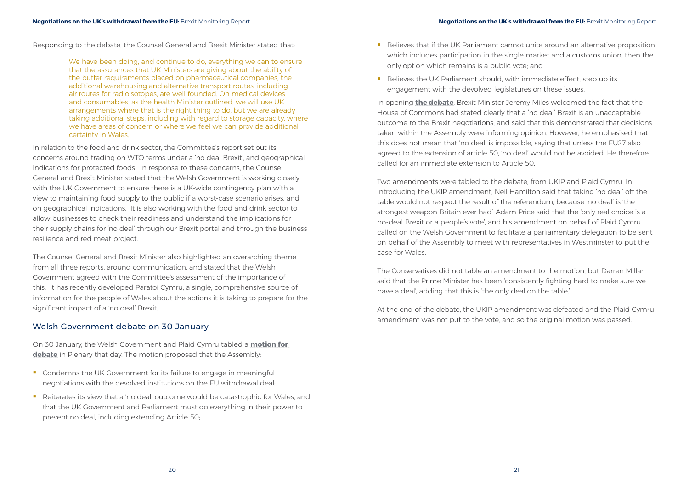<span id="page-10-0"></span>Responding to the debate, the Counsel General and Brexit Minister stated that:

We have been doing, and continue to do, everything we can to ensure that the assurances that UK Ministers are giving about the ability of the buffer requirements placed on pharmaceutical companies, the additional warehousing and alternative transport routes, including air routes for radioisotopes, are well founded. On medical devices and consumables, as the health Minister outlined, we will use UK arrangements where that is the right thing to do, but we are already taking additional steps, including with regard to storage capacity, where we have areas of concern or where we feel we can provide additional certainty in Wales.

In relation to the food and drink sector, the Committee's report set out its concerns around trading on WTO terms under a 'no deal Brexit', and geographical indications for protected foods. In response to these concerns, the Counsel General and Brexit Minister stated that the Welsh Government is working closely with the UK Government to ensure there is a UK-wide contingency plan with a view to maintaining food supply to the public if a worst-case scenario arises, and on geographical indications. It is also working with the food and drink sector to allow businesses to check their readiness and understand the implications for their supply chains for 'no deal' through our Brexit portal and through the business resilience and red meat project.

- **Condemns the UK Government for its failure to engage in meaningful** negotiations with the devolved institutions on the EU withdrawal deal;
- Reiterates its view that a 'no deal' outcome would be catastrophic for Wales, and that the UK Government and Parliament must do everything in their power to prevent no deal, including extending Article 50;
- **Believes that if the UK Parliament cannot unite around an alternative proposition** only option which remains is a public vote; and
- Believes the UK Parliament should, with immediate effect, step up its engagement with the devolved legislatures on these issues.

The Counsel General and Brexit Minister also highlighted an overarching theme from all three reports, around communication, and stated that the Welsh Government agreed with the Committee's assessment of the importance of this. It has recently developed Paratoi Cymru, a single, comprehensive source of information for the people of Wales about the actions it is taking to prepare for the significant impact of a 'no deal' Brexit.

### Welsh Government debate on 30 January

On 30 January, the Welsh Government and Plaid Cymru tabled a **[motion for](http://record.assembly.wales/Motion/6958)  [debate](http://record.assembly.wales/Motion/6958)** in Plenary that day. The motion proposed that the Assembly:

which includes participation in the single market and a customs union, then the

In opening **the debate**, Brexit Minister Jeremy Miles welcomed the fact that the House of Commons had stated clearly that a 'no deal' Brexit is an unacceptable outcome to the Brexit negotiations, and said that this demonstrated that decisions taken within the Assembly were informing opinion. However, he emphasised that this does not mean that 'no deal' is impossible, saying that unless the EU27 also agreed to the extension of article 50, 'no deal' would not be avoided. He therefore called for an immediate extension to Article 50.

Two amendments were tabled to the debate, from UKIP and Plaid Cymru. In introducing the UKIP amendment, Neil Hamilton said that taking 'no deal' off the table would not respect the result of the referendum, because 'no deal' is 'the strongest weapon Britain ever had'. Adam Price said that the 'only real choice is a no-deal Brexit or a people's vote', and his amendment on behalf of Plaid Cymru called on the Welsh Government to facilitate a parliamentary delegation to be sent on behalf of the Assembly to meet with representatives in Westminster to put the case for Wales.

The Conservatives did not table an amendment to the motion, but Darren Millar said that the Prime Minister has been 'consistently fighting hard to make sure we have a deal', adding that this is 'the only deal on the table.'

At the end of the debate, the UKIP amendment was defeated and the Plaid Cymru amendment was not put to the vote, and so the original motion was passed.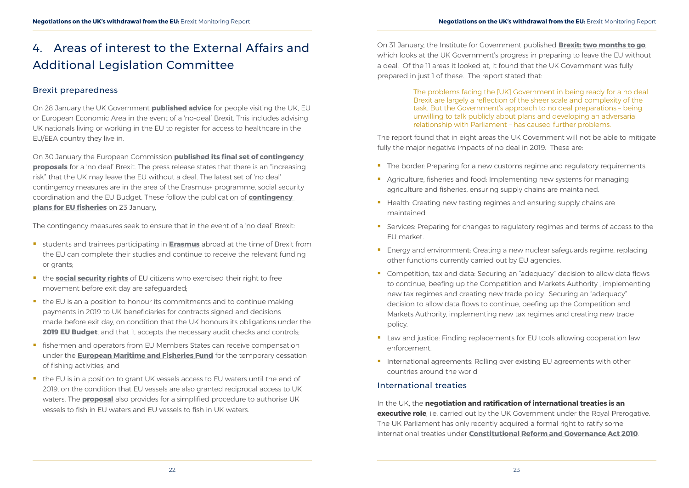# <span id="page-11-0"></span>4. Areas of interest to the External Affairs and Additional Legislation Committee

### Brexit preparedness

On 28 January the UK Government **[published advice](https://www.gov.uk/government/news/new-advice-for-travellers-visiting-the-uk-eu-or-european-economic-area-in-the-event-of-a-no-deal-eu-exit)** for people visiting the UK, EU or European Economic Area in the event of a 'no-deal' Brexit. This includes advising UK nationals living or working in the EU to register for access to healthcare in the EU/EEA country they live in.

On 30 January the European Commission **[published its final set of contingency](http://europa.eu/rapid/press-release_IP-19-743_en.htm)  [proposals](http://europa.eu/rapid/press-release_IP-19-743_en.htm)** for a 'no deal' Brexit. The press release states that there is an "increasing risk" that the UK may leave the EU without a deal. The latest set of 'no deal' contingency measures are in the area of the Erasmus+ programme, social security coordination and the EU Budget. These follow the publication of **[contingency](http://europa.eu/rapid/press-release_IP-19-584_en.htm)  [plans for EU fisheries](http://europa.eu/rapid/press-release_IP-19-584_en.htm)** on 23 January,

The contingency measures seek to ensure that in the event of a 'no deal' Brexit:

- students and trainees participating in **[Erasmus](https://ec.europa.eu/info/files/erasmus-plus_en)** abroad at the time of Brexit from the EU can complete their studies and continue to receive the relevant funding or grants;
- **the [social security rights](https://ec.europa.eu/info/files/social-security-rights_en)** of EU citizens who exercised their right to free movement before exit day are safeguarded;
- $\blacksquare$  the EU is an a position to honour its commitments and to continue making payments in 2019 to UK beneficiaries for contracts signed and decisions made before exit day, on condition that the UK honours its obligations under the **[2019 EU Budget](https://ec.europa.eu/info/files/2019-eu-budget_en)**, and that it accepts the necessary audit checks and controls;
- **F** fishermen and operators from EU Members States can receive compensation under the **[European Maritime and Fisheries Fund](https://ec.europa.eu/info/files/european-maritime-and-fisheries-fund_en)** for the temporary cessation of fishing activities; and
- the EU is in a position to grant UK vessels access to EU waters until the end of 2019, on the condition that EU vessels are also granted reciprocal access to UK waters. The **[proposal](https://ec.europa.eu/info/files/fishing-authorisations_en)** also provides for a simplified procedure to authorise UK vessels to fish in EU waters and EU vessels to fish in UK waters.
- The border: Preparing for a new customs regime and regulatory requirements.
- Agriculture, fisheries and food: Implementing new systems for managing agriculture and fisheries, ensuring supply chains are maintained.
- Health: Creating new testing regimes and ensuring supply chains are maintained.
- Services: Preparing for changes to regulatory regimes and terms of access to the EU market.
- **Energy and environment: Creating a new nuclear safeguards regime, replacing** other functions currently carried out by EU agencies.
- Competition, tax and data: Securing an "adequacy" decision to allow data flows to continue, beefing up the Competition and Markets Authority , implementing new tax regimes and creating new trade policy. Securing an "adequacy" decision to allow data flows to continue, beefing up the Competition and Markets Authority, implementing new tax regimes and creating new trade policy.
- **Law and justice: Finding replacements for EU tools allowing cooperation law** enforcement.
- **International agreements: Rolling over existing EU agreements with other** countries around the world

On 31 January, the Institute for Government published **[Brexit: two months to go](https://www.instituteforgovernment.org.uk/sites/default/files/publications/brexit-two-months-to-go-final-web.pdf)**, which looks at the UK Government's progress in preparing to leave the EU without a deal. Of the 11 areas it looked at, it found that the UK Government was fully prepared in just 1 of these. The report stated that:

> The problems facing the [UK] Government in being ready for a no deal Brexit are largely a reflection of the sheer scale and complexity of the task. But the Government's approach to no deal preparations – being unwilling to talk publicly about plans and developing an adversarial relationship with Parliament – has caused further problems.

The report found that in eight areas the UK Government will not be able to mitigate fully the major negative impacts of no deal in 2019. These are:

### International treaties

In the UK, the **negotiation and ratification of international treaties is an executive role**, i.e. carried out by the UK Government under the Royal Prerogative. The UK Parliament has only recently acquired a formal right to ratify some international treaties under **[Constitutional Reform and Governance Act 2010](https://www.legislation.gov.uk/ukpga/2010/25/contents)**.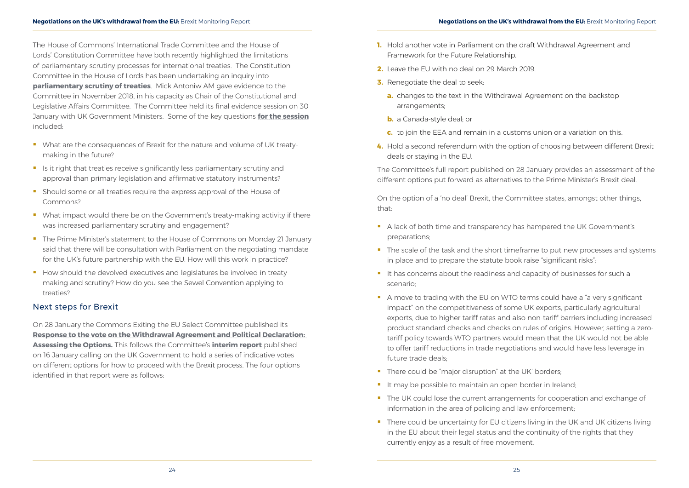<span id="page-12-0"></span>The House of Commons' International Trade Committee and the House of Lords' Constitution Committee have both recently highlighted the limitations of parliamentary scrutiny processes for international treaties. The Constitution Committee in the House of Lords has been undertaking an inquiry into **[parliamentary scrutiny of treaties](https://www.parliament.uk/business/committees/committees-a-z/lords-select/constitution-committee/inquiries/parliament-2017/parliamentary-scrutiny-of-treaties/)**. Mick Antoniw AM gave evidence to the Committee in November 2018, in his capacity as Chair of the Constitutional and Legislative Affairs Committee. The Committee held its final evidence session on 30 January with UK Government Ministers. Some of the key questions **[for the session](https://www.parliament.uk/business/committees/committees-a-z/lords-select/constitution-committee/news-parliament-2017/david-lidington-alan-duncan/)** included:

- What are the consequences of Brexit for the nature and volume of UK treatymaking in the future?
- Is it right that treaties receive significantly less parliamentary scrutiny and approval than primary legislation and affirmative statutory instruments?
- **Should some or all treaties require the express approval of the House of** Commons?
- **•** What impact would there be on the Government's treaty-making activity if there was increased parliamentary scrutiny and engagement?
- The Prime Minister's statement to the House of Commons on Monday 21 January said that there will be consultation with Parliament on the negotiating mandate for the UK's future partnership with the EU. How will this work in practice?
- How should the devolved executives and legislatures be involved in treatymaking and scrutiny? How do you see the Sewel Convention applying to treaties?

### Next steps for Brexit

On 28 January the Commons Exiting the EU Select Committee published its **[Response to the vote on the Withdrawal Agreement and Political Declaration:](https://publications.parliament.uk/pa/cm201719/cmselect/cmexeu/1908/1908.pdf)  [Assessing the Options.](https://publications.parliament.uk/pa/cm201719/cmselect/cmexeu/1908/1908.pdf)** This follows the Committee's **[interim report](https://publications.parliament.uk/pa/cm201719/cmselect/cmexeu/1902/190202.htm)** published on 16 January calling on the UK Government to hold a series of indicative votes on different options for how to proceed with the Brexit process. The four options identified in that report were as follows:

- A lack of both time and transparency has hampered the UK Government's preparations;
- The scale of the task and the short timeframe to put new processes and systems in place and to prepare the statute book raise "significant risks";
- It has concerns about the readiness and capacity of businesses for such a scenario;
- A move to trading with the EU on WTO terms could have a "a very significant" impact" on the competitiveness of some UK exports, particularly agricultural exports, due to higher tariff rates and also non-tariff barriers including increased product standard checks and checks on rules of origins. However, setting a zerotariff policy towards WTO partners would mean that the UK would not be able to offer tariff reductions in trade negotiations and would have less leverage in future trade deals;
- There could be "major disruption" at the UK' borders:
- It may be possible to maintain an open border in Ireland;
- The UK could lose the current arrangements for cooperation and exchange of information in the area of policing and law enforcement;
- There could be uncertainty for EU citizens living in the UK and UK citizens living in the EU about their legal status and the continuity of the rights that they currently enjoy as a result of free movement.

- **1.** Hold another vote in Parliament on the draft Withdrawal Agreement and Framework for the Future Relationship.
- **2.** Leave the EU with no deal on 29 March 2019.
- **3.** Renegotiate the deal to seek:
	- **a.** changes to the text in the Withdrawal Agreement on the backstop arrangements;
	- **b.** a Canada-style deal; or
	- **c.** to join the EEA and remain in a customs union or a variation on this.
- **4.** Hold a second referendum with the option of choosing between different Brexit deals or staying in the EU.

The Committee's full report published on 28 January provides an assessment of the different options put forward as alternatives to the Prime Minister's Brexit deal.

On the option of a 'no deal' Brexit, the Committee states, amongst other things, that: